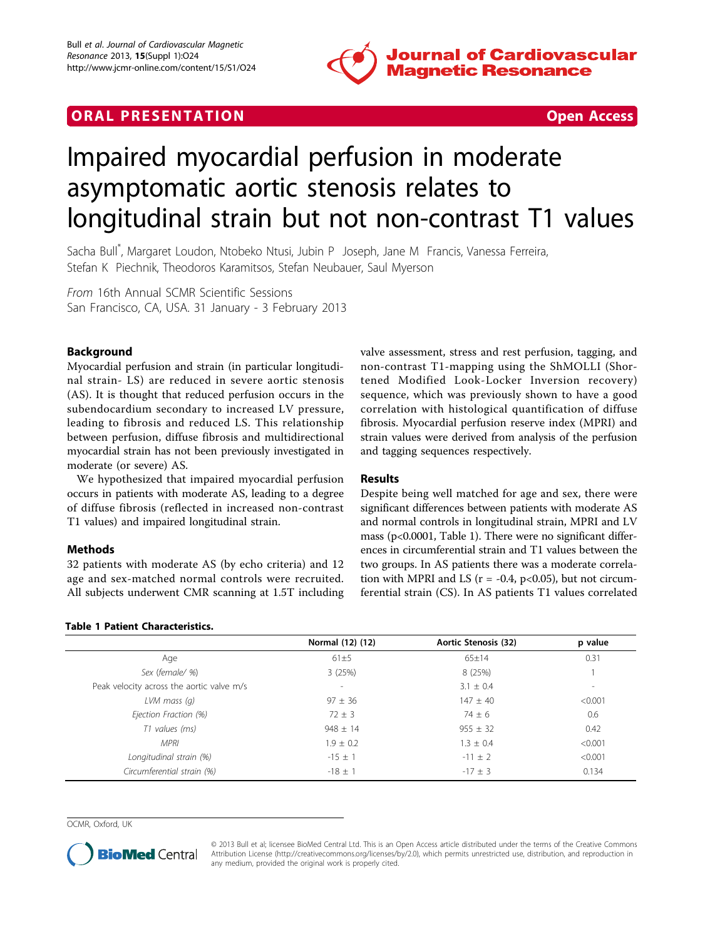

# **ORAL PRESENTATION CONSUMING ACCESS**



# Impaired myocardial perfusion in moderate asymptomatic aortic stenosis relates to longitudinal strain but not non-contrast T1 values

Sacha Bull\* , Margaret Loudon, Ntobeko Ntusi, Jubin P Joseph, Jane M Francis, Vanessa Ferreira, Stefan K Piechnik, Theodoros Karamitsos, Stefan Neubauer, Saul Myerson

From 16th Annual SCMR Scientific Sessions San Francisco, CA, USA. 31 January - 3 February 2013

# Background

Myocardial perfusion and strain (in particular longitudinal strain- LS) are reduced in severe aortic stenosis (AS). It is thought that reduced perfusion occurs in the subendocardium secondary to increased LV pressure, leading to fibrosis and reduced LS. This relationship between perfusion, diffuse fibrosis and multidirectional myocardial strain has not been previously investigated in moderate (or severe) AS.

We hypothesized that impaired myocardial perfusion occurs in patients with moderate AS, leading to a degree of diffuse fibrosis (reflected in increased non-contrast T1 values) and impaired longitudinal strain.

# Methods

32 patients with moderate AS (by echo criteria) and 12 age and sex-matched normal controls were recruited. All subjects underwent CMR scanning at 1.5T including

#### Table 1 Patient Characteristics.

valve assessment, stress and rest perfusion, tagging, and non-contrast T1-mapping using the ShMOLLI (Shortened Modified Look-Locker Inversion recovery) sequence, which was previously shown to have a good correlation with histological quantification of diffuse fibrosis. Myocardial perfusion reserve index (MPRI) and strain values were derived from analysis of the perfusion and tagging sequences respectively.

# Results

Despite being well matched for age and sex, there were significant differences between patients with moderate AS and normal controls in longitudinal strain, MPRI and LV mass (p<0.0001, Table 1). There were no significant differences in circumferential strain and T1 values between the two groups. In AS patients there was a moderate correlation with MPRI and LS ( $r = -0.4$ , p<0.05), but not circumferential strain (CS). In AS patients T1 values correlated

|                                           | Normal (12) (12)         | Aortic Stenosis (32) | p value                  |
|-------------------------------------------|--------------------------|----------------------|--------------------------|
| Age                                       | 61±5                     | $65 \pm 14$          | 0.31                     |
| Sex (female/ %)                           | 3(25%)                   | 8 (25%)              |                          |
| Peak velocity across the aortic valve m/s | $\overline{\phantom{a}}$ | $3.1 \pm 0.4$        | $\overline{\phantom{a}}$ |
| $LVM$ mass $(q)$                          | $97 \pm 36$              | $147 \pm 40$         | < 0.001                  |
| Ejection Fraction (%)                     | $72 \pm 3$               | $74 \pm 6$           | 0.6                      |
| T1 values (ms)                            | $948 \pm 14$             | $955 \pm 32$         | 0.42                     |
| <b>MPRI</b>                               | $1.9 \pm 0.2$            | $1.3 \pm 0.4$        | < 0.001                  |
| Longitudinal strain (%)                   | $-15 \pm 1$              | $-11 \pm 2$          | < 0.001                  |
| Circumferential strain (%)                | $-18 \pm 1$              | $-17 + 3$            | 0.134                    |

OCMR, Oxford, UK



© 2013 Bull et al; licensee BioMed Central Ltd. This is an Open Access article distributed under the terms of the Creative Commons Attribution License [\(http://creativecommons.org/licenses/by/2.0](http://creativecommons.org/licenses/by/2.0)), which permits unrestricted use, distribution, and reproduction in any medium, provided the original work is properly cited.